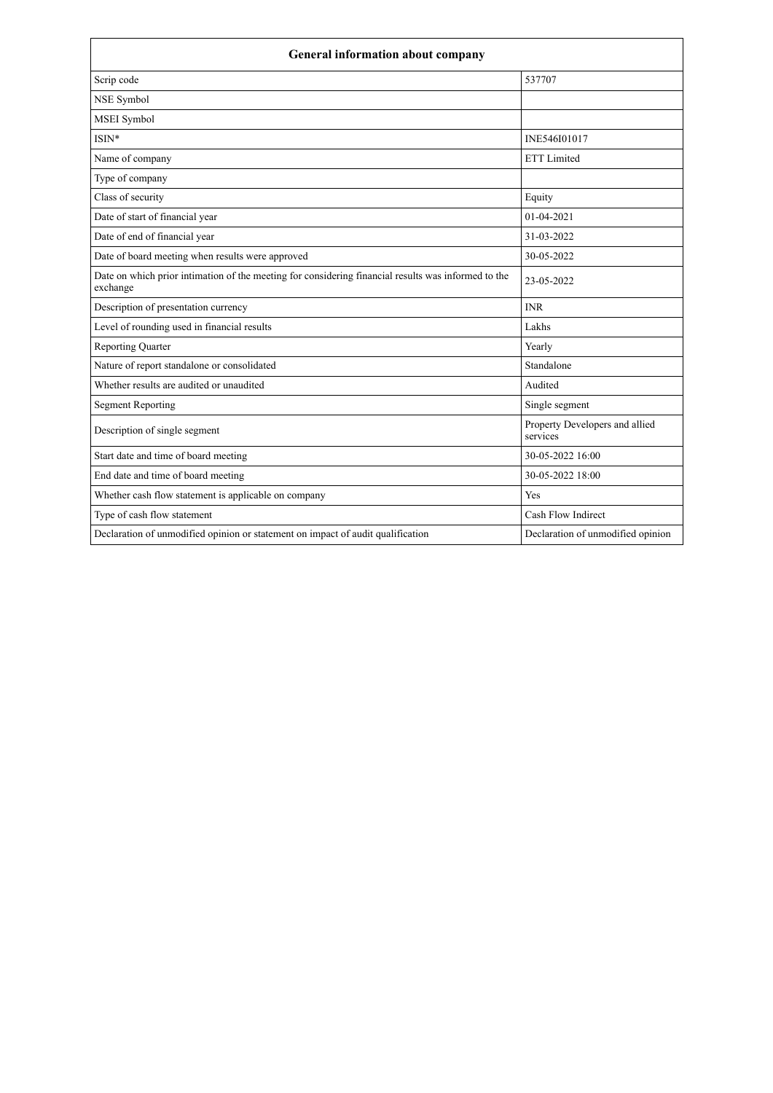| <b>General information about company</b>                                                                        |                                            |  |  |
|-----------------------------------------------------------------------------------------------------------------|--------------------------------------------|--|--|
| Scrip code                                                                                                      | 537707                                     |  |  |
| NSE Symbol                                                                                                      |                                            |  |  |
| <b>MSEI</b> Symbol                                                                                              |                                            |  |  |
| $ISIN*$                                                                                                         | INE546I01017                               |  |  |
| Name of company                                                                                                 | <b>ETT</b> Limited                         |  |  |
| Type of company                                                                                                 |                                            |  |  |
| Class of security                                                                                               | Equity                                     |  |  |
| Date of start of financial year                                                                                 | $01-04-2021$                               |  |  |
| Date of end of financial year                                                                                   | 31-03-2022                                 |  |  |
| Date of board meeting when results were approved                                                                | 30-05-2022                                 |  |  |
| Date on which prior intimation of the meeting for considering financial results was informed to the<br>exchange | 23-05-2022                                 |  |  |
| Description of presentation currency                                                                            | <b>INR</b>                                 |  |  |
| Level of rounding used in financial results                                                                     | Lakhs                                      |  |  |
| <b>Reporting Quarter</b>                                                                                        | Yearly                                     |  |  |
| Nature of report standalone or consolidated                                                                     | Standalone                                 |  |  |
| Whether results are audited or unaudited                                                                        | Audited                                    |  |  |
| <b>Segment Reporting</b>                                                                                        | Single segment                             |  |  |
| Description of single segment                                                                                   | Property Developers and allied<br>services |  |  |
| Start date and time of board meeting                                                                            | 30-05-2022 16:00                           |  |  |
| End date and time of board meeting                                                                              | 30-05-2022 18:00                           |  |  |
| Whether cash flow statement is applicable on company                                                            | Yes                                        |  |  |
| Type of cash flow statement                                                                                     | Cash Flow Indirect                         |  |  |
| Declaration of unmodified opinion or statement on impact of audit qualification                                 | Declaration of unmodified opinion          |  |  |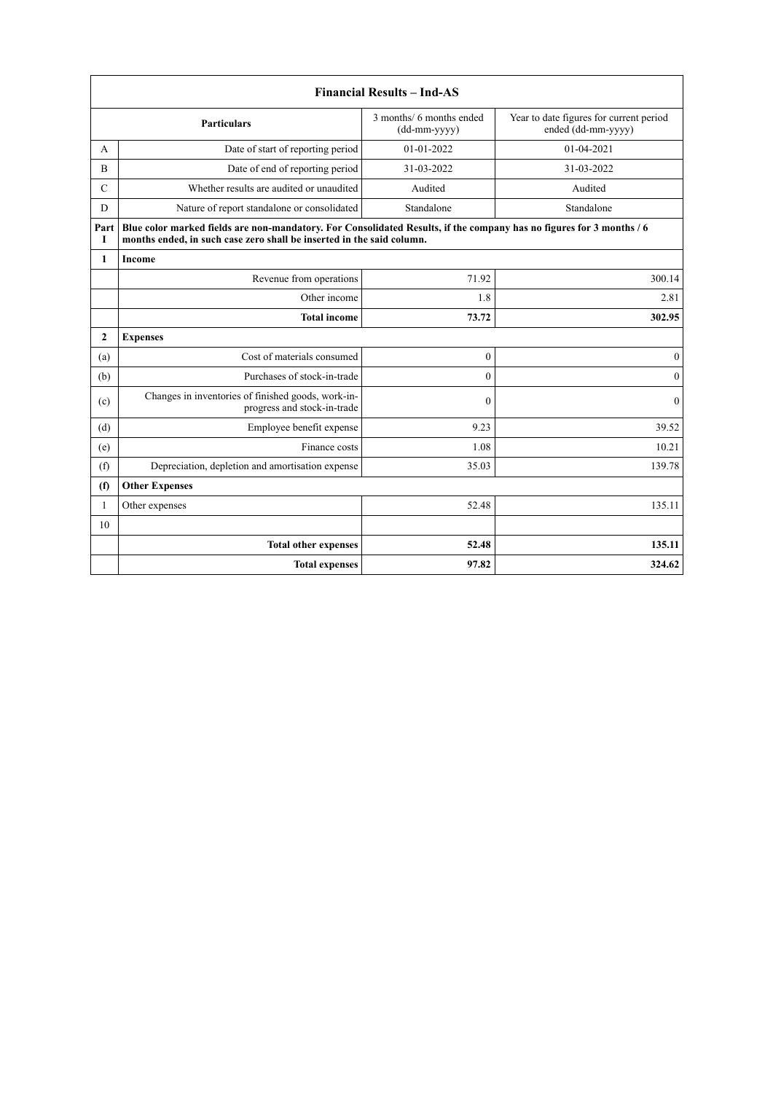|               | <b>Financial Results - Ind-AS</b>                                                                                                                                                             |                  |                  |  |  |  |
|---------------|-----------------------------------------------------------------------------------------------------------------------------------------------------------------------------------------------|------------------|------------------|--|--|--|
|               | 3 months/ 6 months ended<br>Year to date figures for current period<br><b>Particulars</b><br>ended (dd-mm-yyyy)<br>(dd-mm-yyyy)                                                               |                  |                  |  |  |  |
| A             | Date of start of reporting period                                                                                                                                                             | 01-01-2022       | 01-04-2021       |  |  |  |
| B             | Date of end of reporting period                                                                                                                                                               | 31-03-2022       | 31-03-2022       |  |  |  |
| $\mathcal{C}$ | Whether results are audited or unaudited                                                                                                                                                      | Audited          | Audited          |  |  |  |
| D             | Nature of report standalone or consolidated                                                                                                                                                   | Standalone       | Standalone       |  |  |  |
| Part<br>1     | Blue color marked fields are non-mandatory. For Consolidated Results, if the company has no figures for 3 months / 6<br>months ended, in such case zero shall be inserted in the said column. |                  |                  |  |  |  |
| $\mathbf{1}$  | Income                                                                                                                                                                                        |                  |                  |  |  |  |
|               | Revenue from operations                                                                                                                                                                       | 71.92            | 300.14           |  |  |  |
|               | Other income                                                                                                                                                                                  | 1.8              | 2.81             |  |  |  |
|               | <b>Total income</b>                                                                                                                                                                           | 73.72            | 302.95           |  |  |  |
| $\mathbf{2}$  | <b>Expenses</b>                                                                                                                                                                               |                  |                  |  |  |  |
| (a)           | Cost of materials consumed                                                                                                                                                                    | $\boldsymbol{0}$ | $\boldsymbol{0}$ |  |  |  |
| (b)           | Purchases of stock-in-trade                                                                                                                                                                   | $\mathbf{0}$     | $\boldsymbol{0}$ |  |  |  |
| (c)           | Changes in inventories of finished goods, work-in-<br>progress and stock-in-trade                                                                                                             | $\mathbf{0}$     | $\mathbf{0}$     |  |  |  |
| (d)           | Employee benefit expense                                                                                                                                                                      | 9.23             | 39.52            |  |  |  |
| (e)           | Finance costs                                                                                                                                                                                 | 1.08             | 10.21            |  |  |  |
| (f)           | Depreciation, depletion and amortisation expense                                                                                                                                              | 35.03            | 139.78           |  |  |  |
| (f)           | <b>Other Expenses</b>                                                                                                                                                                         |                  |                  |  |  |  |
| 1             | Other expenses                                                                                                                                                                                | 52.48            | 135.11           |  |  |  |
| 10            |                                                                                                                                                                                               |                  |                  |  |  |  |
|               | <b>Total other expenses</b>                                                                                                                                                                   | 52.48            | 135.11           |  |  |  |
|               | <b>Total expenses</b>                                                                                                                                                                         | 97.82            | 324.62           |  |  |  |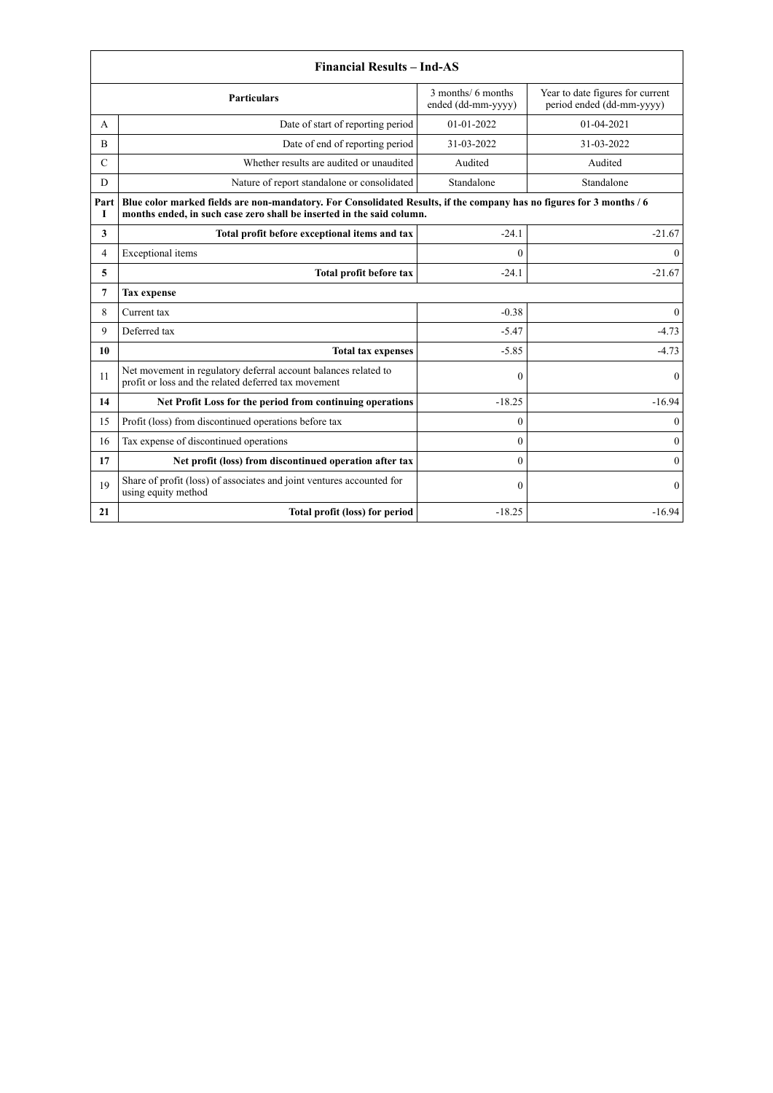| <b>Financial Results - Ind-AS</b>                                                                                               |                                                                                                                                                                                               |              |                  |  |  |
|---------------------------------------------------------------------------------------------------------------------------------|-----------------------------------------------------------------------------------------------------------------------------------------------------------------------------------------------|--------------|------------------|--|--|
| 3 months/ 6 months<br>Year to date figures for current<br><b>Particulars</b><br>ended (dd-mm-yyyy)<br>period ended (dd-mm-yyyy) |                                                                                                                                                                                               |              |                  |  |  |
| A                                                                                                                               | Date of start of reporting period                                                                                                                                                             | $01-01-2022$ | 01-04-2021       |  |  |
| B                                                                                                                               | Date of end of reporting period                                                                                                                                                               | 31-03-2022   | 31-03-2022       |  |  |
| $\mathcal{C}$                                                                                                                   | Whether results are audited or unaudited                                                                                                                                                      | Audited      | Audited          |  |  |
| D                                                                                                                               | Nature of report standalone or consolidated                                                                                                                                                   | Standalone   | Standalone       |  |  |
| Part<br>1                                                                                                                       | Blue color marked fields are non-mandatory. For Consolidated Results, if the company has no figures for 3 months / 6<br>months ended, in such case zero shall be inserted in the said column. |              |                  |  |  |
| 3                                                                                                                               | Total profit before exceptional items and tax                                                                                                                                                 | $-24.1$      | $-21.67$         |  |  |
| 4                                                                                                                               | Exceptional items                                                                                                                                                                             | $\theta$     | $\theta$         |  |  |
| 5                                                                                                                               | Total profit before tax                                                                                                                                                                       | $-24.1$      | $-21.67$         |  |  |
| 7                                                                                                                               | <b>Tax expense</b>                                                                                                                                                                            |              |                  |  |  |
| 8                                                                                                                               | Current tax                                                                                                                                                                                   | $-0.38$      | $\boldsymbol{0}$ |  |  |
| 9                                                                                                                               | Deferred tax                                                                                                                                                                                  | $-5.47$      | $-4.73$          |  |  |
| 10                                                                                                                              | <b>Total tax expenses</b>                                                                                                                                                                     | $-5.85$      | $-4.73$          |  |  |
| 11                                                                                                                              | Net movement in regulatory deferral account balances related to<br>profit or loss and the related deferred tax movement                                                                       | $\mathbf{0}$ | $\mathbf{0}$     |  |  |
| 14                                                                                                                              | Net Profit Loss for the period from continuing operations                                                                                                                                     | $-18.25$     | $-16.94$         |  |  |
| 15                                                                                                                              | Profit (loss) from discontinued operations before tax                                                                                                                                         | $\theta$     | $\mathbf{0}$     |  |  |
| 16                                                                                                                              | Tax expense of discontinued operations                                                                                                                                                        | $\theta$     | $\mathbf{0}$     |  |  |
| 17                                                                                                                              | Net profit (loss) from discontinued operation after tax                                                                                                                                       | $\theta$     | $\overline{0}$   |  |  |
| 19                                                                                                                              | Share of profit (loss) of associates and joint ventures accounted for<br>using equity method                                                                                                  | $\mathbf{0}$ | $\theta$         |  |  |
| 21                                                                                                                              | Total profit (loss) for period                                                                                                                                                                | $-18.25$     | $-16.94$         |  |  |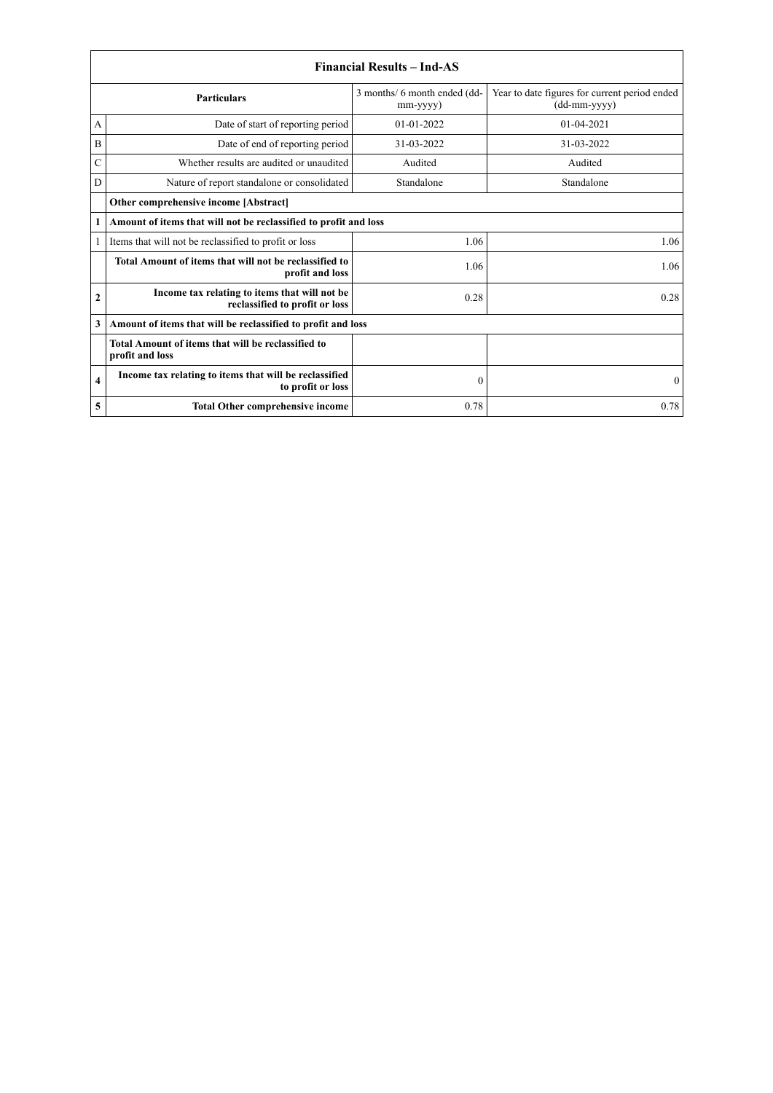|               | <b>Financial Results - Ind-AS</b>                                               |                                                |                                                               |  |  |
|---------------|---------------------------------------------------------------------------------|------------------------------------------------|---------------------------------------------------------------|--|--|
|               | <b>Particulars</b>                                                              | 3 months/ 6 month ended (dd-<br>$mm$ -yyyy $)$ | Year to date figures for current period ended<br>(dd-mm-yyyy) |  |  |
| А             | Date of start of reporting period                                               | $01-01-2022$                                   | $01 - 04 - 2021$                                              |  |  |
| B             | Date of end of reporting period                                                 | 31-03-2022                                     | 31-03-2022                                                    |  |  |
| $\mathcal{C}$ | Whether results are audited or unaudited                                        | Audited                                        | Audited                                                       |  |  |
| D             | Nature of report standalone or consolidated                                     | Standalone                                     | Standalone                                                    |  |  |
|               | Other comprehensive income [Abstract]                                           |                                                |                                                               |  |  |
| 1             | Amount of items that will not be reclassified to profit and loss                |                                                |                                                               |  |  |
|               | Items that will not be reclassified to profit or loss                           | 1.06                                           | 1.06                                                          |  |  |
|               | Total Amount of items that will not be reclassified to<br>profit and loss       | 1.06                                           | 1.06                                                          |  |  |
| $\mathbf{2}$  | Income tax relating to items that will not be<br>reclassified to profit or loss | 0.28                                           | 0.28                                                          |  |  |
| 3             | Amount of items that will be reclassified to profit and loss                    |                                                |                                                               |  |  |
|               | Total Amount of items that will be reclassified to<br>profit and loss           |                                                |                                                               |  |  |
| 4             | Income tax relating to items that will be reclassified<br>to profit or loss     | $\mathbf{0}$                                   | $\bf{0}$                                                      |  |  |
| 5             | <b>Total Other comprehensive income</b>                                         | 0.78                                           | 0.78                                                          |  |  |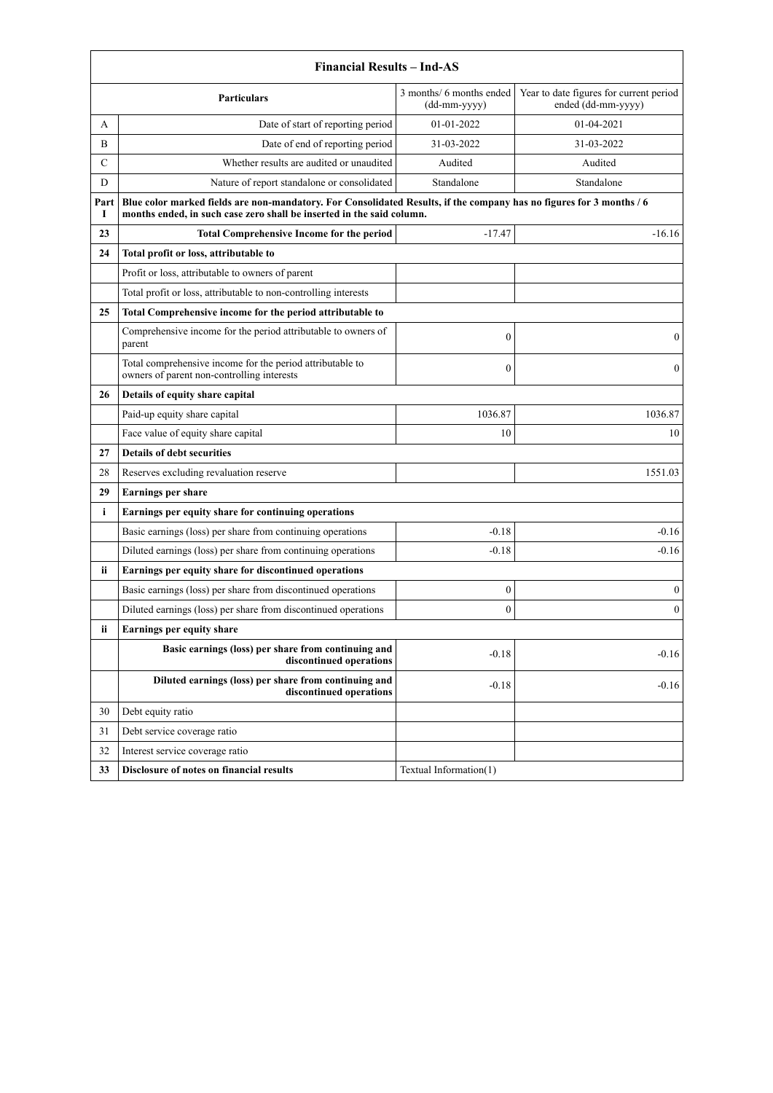|               | <b>Financial Results - Ind-AS</b>                                                                                                                                                             |                        |              |  |  |  |
|---------------|-----------------------------------------------------------------------------------------------------------------------------------------------------------------------------------------------|------------------------|--------------|--|--|--|
|               | 3 months/ 6 months ended<br>Year to date figures for current period<br><b>Particulars</b><br>ended (dd-mm-yyyy)<br>$(dd-mm-yyyy)$                                                             |                        |              |  |  |  |
| A             | Date of start of reporting period                                                                                                                                                             | 01-01-2022             | 01-04-2021   |  |  |  |
| B             | Date of end of reporting period                                                                                                                                                               | 31-03-2022             | 31-03-2022   |  |  |  |
| $\mathcal{C}$ | Whether results are audited or unaudited                                                                                                                                                      | Audited                | Audited      |  |  |  |
| D             | Nature of report standalone or consolidated                                                                                                                                                   | Standalone             | Standalone   |  |  |  |
| Part<br>1     | Blue color marked fields are non-mandatory. For Consolidated Results, if the company has no figures for 3 months / 6<br>months ended, in such case zero shall be inserted in the said column. |                        |              |  |  |  |
| 23            | <b>Total Comprehensive Income for the period</b>                                                                                                                                              | $-17.47$               | $-16.16$     |  |  |  |
| 24            | Total profit or loss, attributable to                                                                                                                                                         |                        |              |  |  |  |
|               | Profit or loss, attributable to owners of parent                                                                                                                                              |                        |              |  |  |  |
|               | Total profit or loss, attributable to non-controlling interests                                                                                                                               |                        |              |  |  |  |
| 25            | Total Comprehensive income for the period attributable to                                                                                                                                     |                        |              |  |  |  |
|               | Comprehensive income for the period attributable to owners of<br>parent                                                                                                                       | $\boldsymbol{0}$       | $\mathbf{0}$ |  |  |  |
|               | Total comprehensive income for the period attributable to<br>owners of parent non-controlling interests                                                                                       | $\boldsymbol{0}$       | $\mathbf{0}$ |  |  |  |
| 26            | Details of equity share capital                                                                                                                                                               |                        |              |  |  |  |
|               | Paid-up equity share capital                                                                                                                                                                  | 1036.87                | 1036.87      |  |  |  |
|               | Face value of equity share capital                                                                                                                                                            | 10                     | 10           |  |  |  |
| 27            | <b>Details of debt securities</b>                                                                                                                                                             |                        |              |  |  |  |
| 28            | Reserves excluding revaluation reserve                                                                                                                                                        |                        | 1551.03      |  |  |  |
| 29            | <b>Earnings per share</b>                                                                                                                                                                     |                        |              |  |  |  |
| i             | Earnings per equity share for continuing operations                                                                                                                                           |                        |              |  |  |  |
|               | Basic earnings (loss) per share from continuing operations                                                                                                                                    | $-0.18$                | $-0.16$      |  |  |  |
|               | Diluted earnings (loss) per share from continuing operations                                                                                                                                  | $-0.18$                | $-0.16$      |  |  |  |
| <b>ii</b>     | Earnings per equity share for discontinued operations                                                                                                                                         |                        |              |  |  |  |
|               | Basic earnings (loss) per share from discontinued operations                                                                                                                                  | 0                      | $\bf{0}$     |  |  |  |
|               | Diluted earnings (loss) per share from discontinued operations                                                                                                                                | $\mathbf{0}$           | $\mathbf{0}$ |  |  |  |
| ii            | Earnings per equity share                                                                                                                                                                     |                        |              |  |  |  |
|               | Basic earnings (loss) per share from continuing and<br>discontinued operations                                                                                                                | $-0.18$                | $-0.16$      |  |  |  |
|               | Diluted earnings (loss) per share from continuing and<br>discontinued operations                                                                                                              | $-0.18$                | $-0.16$      |  |  |  |
| 30            | Debt equity ratio                                                                                                                                                                             |                        |              |  |  |  |
| 31            | Debt service coverage ratio                                                                                                                                                                   |                        |              |  |  |  |
| 32            | Interest service coverage ratio                                                                                                                                                               |                        |              |  |  |  |
| 33            | Disclosure of notes on financial results                                                                                                                                                      | Textual Information(1) |              |  |  |  |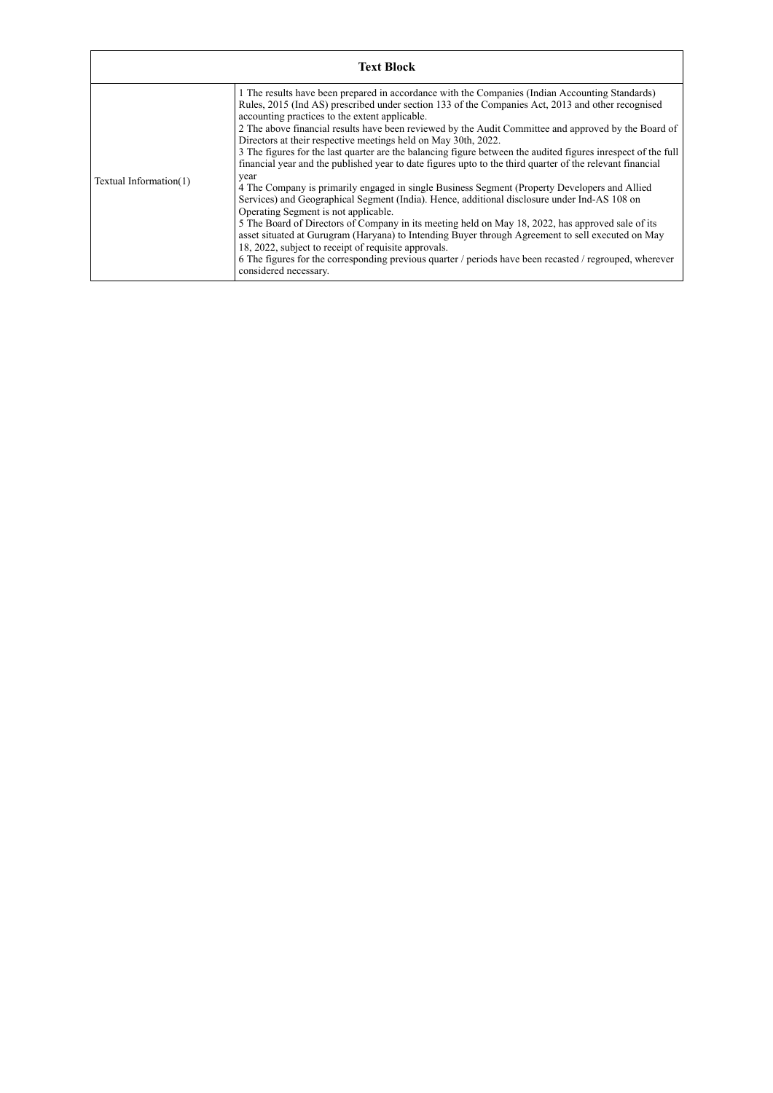|                        | <b>Text Block</b>                                                                                                                                                                                                                                                                                                                                                                                                                                                                                                                                                                                                                                                                                                                                                                                                                                                                                                                                                                                                                                                                                                                                                                                                                                                                                                      |
|------------------------|------------------------------------------------------------------------------------------------------------------------------------------------------------------------------------------------------------------------------------------------------------------------------------------------------------------------------------------------------------------------------------------------------------------------------------------------------------------------------------------------------------------------------------------------------------------------------------------------------------------------------------------------------------------------------------------------------------------------------------------------------------------------------------------------------------------------------------------------------------------------------------------------------------------------------------------------------------------------------------------------------------------------------------------------------------------------------------------------------------------------------------------------------------------------------------------------------------------------------------------------------------------------------------------------------------------------|
| Textual Information(1) | 1 The results have been prepared in accordance with the Companies (Indian Accounting Standards)<br>Rules, 2015 (Ind AS) prescribed under section 133 of the Companies Act, 2013 and other recognised<br>accounting practices to the extent applicable.<br>2 The above financial results have been reviewed by the Audit Committee and approved by the Board of<br>Directors at their respective meetings held on May 30th, 2022.<br>3 The figures for the last quarter are the balancing figure between the audited figures in respect of the full<br>financial year and the published year to date figures upto to the third quarter of the relevant financial<br>year<br>4 The Company is primarily engaged in single Business Segment (Property Developers and Allied<br>Services) and Geographical Segment (India). Hence, additional disclosure under Ind-AS 108 on<br>Operating Segment is not applicable.<br>5 The Board of Directors of Company in its meeting held on May 18, 2022, has approved sale of its<br>asset situated at Gurugram (Haryana) to Intending Buyer through Agreement to sell executed on May<br>18, 2022, subject to receipt of requisite approvals.<br>6 The figures for the corresponding previous quarter / periods have been recasted / regrouped, wherever<br>considered necessary. |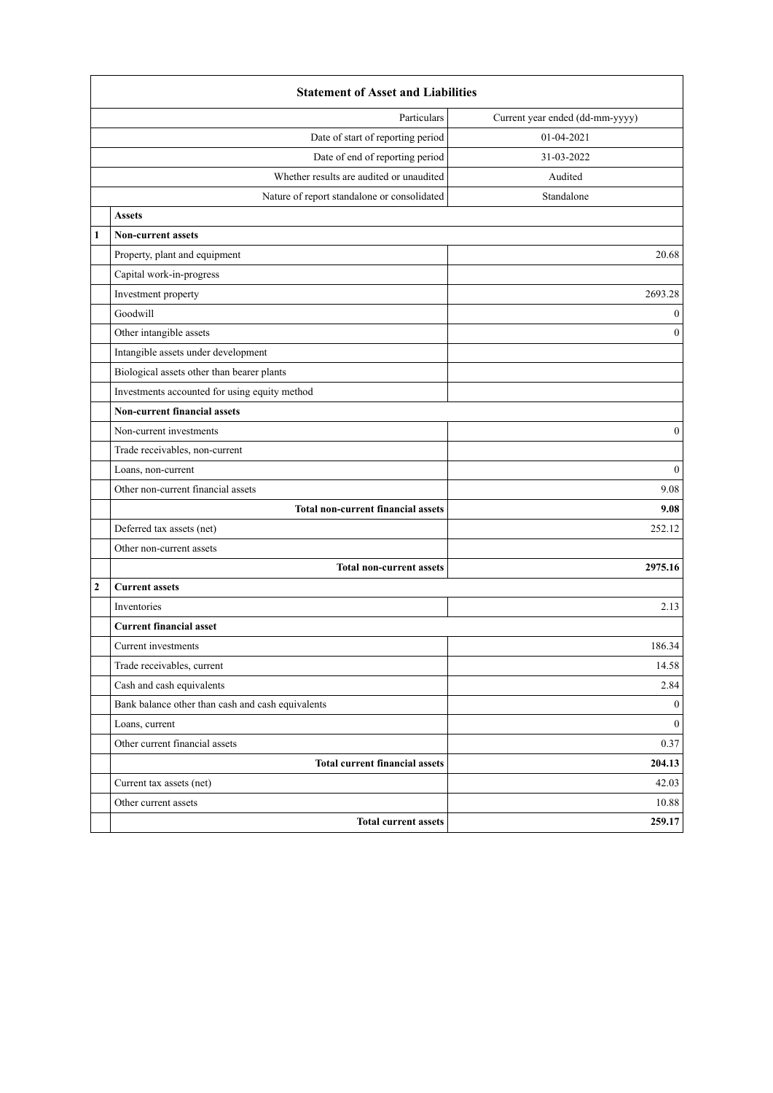|              | <b>Statement of Asset and Liabilities</b>           |                  |  |  |  |
|--------------|-----------------------------------------------------|------------------|--|--|--|
|              | Current year ended (dd-mm-yyyy)<br>Particulars      |                  |  |  |  |
|              | Date of start of reporting period<br>01-04-2021     |                  |  |  |  |
|              | Date of end of reporting period<br>31-03-2022       |                  |  |  |  |
|              | Whether results are audited or unaudited<br>Audited |                  |  |  |  |
|              | Nature of report standalone or consolidated         | Standalone       |  |  |  |
|              | <b>Assets</b>                                       |                  |  |  |  |
| $\mathbf{1}$ | <b>Non-current assets</b>                           |                  |  |  |  |
|              | Property, plant and equipment                       | 20.68            |  |  |  |
|              | Capital work-in-progress                            |                  |  |  |  |
|              | Investment property                                 | 2693.28          |  |  |  |
|              | Goodwill                                            | $\bf{0}$         |  |  |  |
|              | Other intangible assets                             | $\mathbf{0}$     |  |  |  |
|              | Intangible assets under development                 |                  |  |  |  |
|              | Biological assets other than bearer plants          |                  |  |  |  |
|              | Investments accounted for using equity method       |                  |  |  |  |
|              | <b>Non-current financial assets</b>                 |                  |  |  |  |
|              | Non-current investments                             | $\boldsymbol{0}$ |  |  |  |
|              | Trade receivables, non-current                      |                  |  |  |  |
|              | Loans, non-current                                  | $\mathbf{0}$     |  |  |  |
|              | Other non-current financial assets                  | 9.08             |  |  |  |
|              | <b>Total non-current financial assets</b>           | 9.08             |  |  |  |
|              | Deferred tax assets (net)                           | 252.12           |  |  |  |
|              | Other non-current assets                            |                  |  |  |  |
|              | <b>Total non-current assets</b>                     | 2975.16          |  |  |  |
| $\mathbf{2}$ | <b>Current assets</b>                               |                  |  |  |  |
|              | Inventories                                         | 2.13             |  |  |  |
|              | <b>Current financial asset</b>                      |                  |  |  |  |
|              | Current investments                                 | 186.34           |  |  |  |
|              | Trade receivables, current                          | 14.58            |  |  |  |
|              | Cash and cash equivalents                           | 2.84             |  |  |  |
|              | Bank balance other than cash and cash equivalents   | $\boldsymbol{0}$ |  |  |  |
|              | Loans, current                                      | $\mathbf{0}$     |  |  |  |
|              | Other current financial assets                      | 0.37             |  |  |  |
|              | <b>Total current financial assets</b>               | 204.13           |  |  |  |
|              | Current tax assets (net)                            | 42.03            |  |  |  |
|              | Other current assets                                | 10.88            |  |  |  |
|              | <b>Total current assets</b>                         | 259.17           |  |  |  |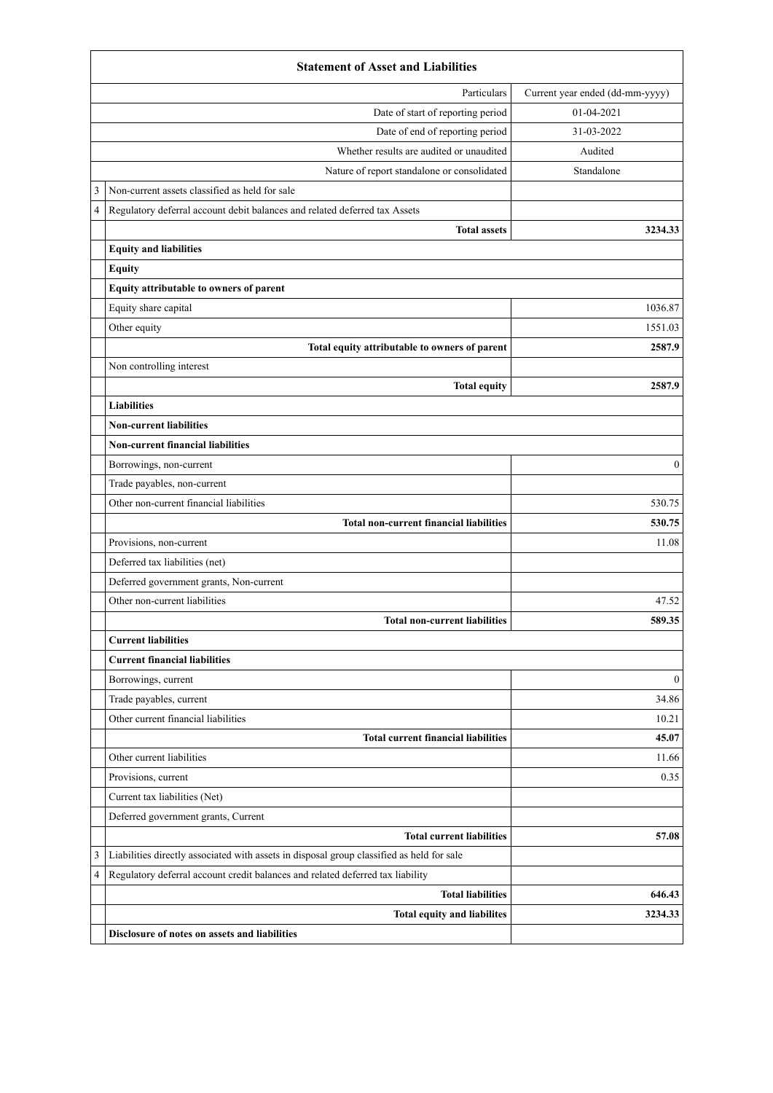|   | <b>Statement of Asset and Liabilities</b>                                                 |                                 |  |  |
|---|-------------------------------------------------------------------------------------------|---------------------------------|--|--|
|   | Particulars                                                                               | Current year ended (dd-mm-yyyy) |  |  |
|   | Date of start of reporting period                                                         | 01-04-2021                      |  |  |
|   | Date of end of reporting period                                                           | 31-03-2022                      |  |  |
|   | Whether results are audited or unaudited                                                  | Audited                         |  |  |
|   | Nature of report standalone or consolidated                                               | Standalone                      |  |  |
| 3 | Non-current assets classified as held for sale                                            |                                 |  |  |
| 4 | Regulatory deferral account debit balances and related deferred tax Assets                |                                 |  |  |
|   | <b>Total assets</b>                                                                       | 3234.33                         |  |  |
|   | <b>Equity and liabilities</b>                                                             |                                 |  |  |
|   | <b>Equity</b>                                                                             |                                 |  |  |
|   | Equity attributable to owners of parent                                                   |                                 |  |  |
|   | Equity share capital                                                                      | 1036.87                         |  |  |
|   | Other equity                                                                              | 1551.03                         |  |  |
|   | Total equity attributable to owners of parent                                             | 2587.9                          |  |  |
|   | Non controlling interest                                                                  |                                 |  |  |
|   | <b>Total equity</b>                                                                       | 2587.9                          |  |  |
|   | <b>Liabilities</b>                                                                        |                                 |  |  |
|   | <b>Non-current liabilities</b>                                                            |                                 |  |  |
|   | <b>Non-current financial liabilities</b>                                                  |                                 |  |  |
|   | Borrowings, non-current                                                                   | $\mathbf{0}$                    |  |  |
|   | Trade payables, non-current                                                               |                                 |  |  |
|   | Other non-current financial liabilities                                                   | 530.75                          |  |  |
|   | <b>Total non-current financial liabilities</b>                                            | 530.75                          |  |  |
|   | Provisions, non-current                                                                   | 11.08                           |  |  |
|   | Deferred tax liabilities (net)                                                            |                                 |  |  |
|   | Deferred government grants, Non-current                                                   |                                 |  |  |
|   | Other non-current liabilities                                                             | 47.52                           |  |  |
|   | <b>Total non-current liabilities</b>                                                      | 589.35                          |  |  |
|   | <b>Current liabilities</b>                                                                |                                 |  |  |
|   | <b>Current financial liabilities</b>                                                      |                                 |  |  |
|   | Borrowings, current                                                                       | $\mathbf{0}$                    |  |  |
|   | Trade payables, current                                                                   | 34.86                           |  |  |
|   | Other current financial liabilities                                                       | 10.21                           |  |  |
|   | <b>Total current financial liabilities</b>                                                | 45.07                           |  |  |
|   | Other current liabilities                                                                 | 11.66                           |  |  |
|   | Provisions, current                                                                       | 0.35                            |  |  |
|   | Current tax liabilities (Net)                                                             |                                 |  |  |
|   | Deferred government grants, Current                                                       |                                 |  |  |
|   | <b>Total current liabilities</b>                                                          | 57.08                           |  |  |
| 3 | Liabilities directly associated with assets in disposal group classified as held for sale |                                 |  |  |
| 4 | Regulatory deferral account credit balances and related deferred tax liability            |                                 |  |  |
|   | <b>Total liabilities</b>                                                                  | 646.43                          |  |  |
|   | <b>Total equity and liabilites</b>                                                        | 3234.33                         |  |  |
|   | Disclosure of notes on assets and liabilities                                             |                                 |  |  |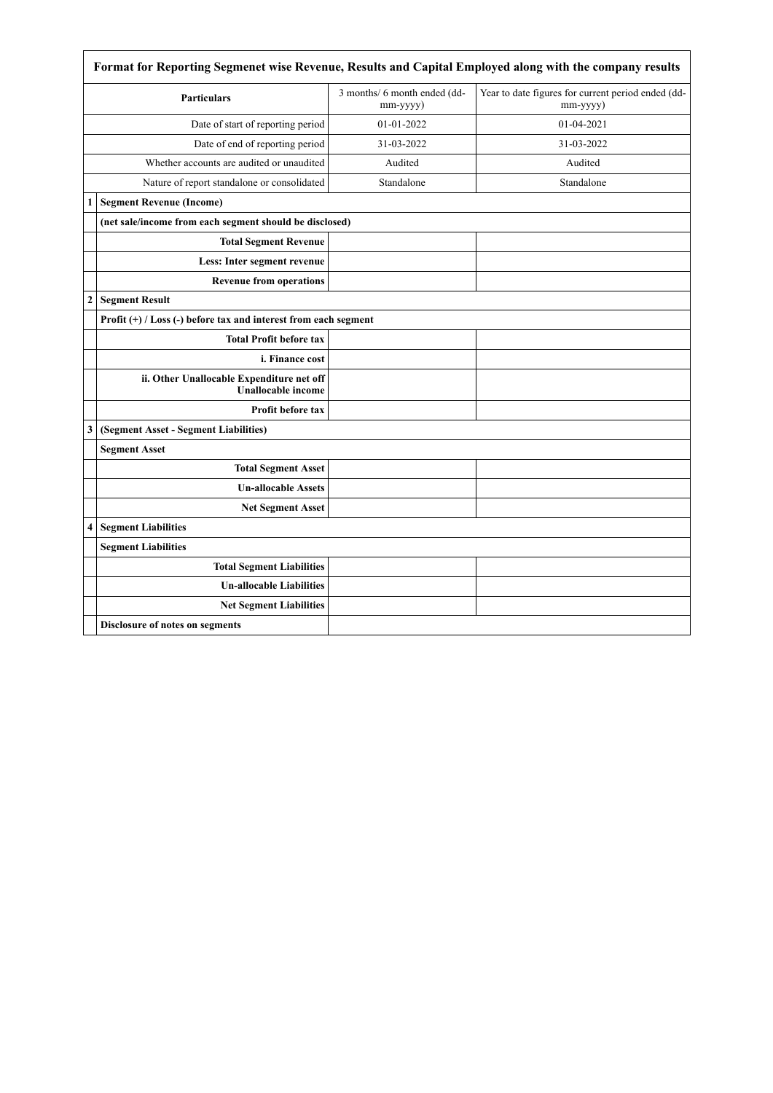|                  | Format for Reporting Segmenet wise Revenue, Results and Capital Employed along with the company results |                                          |                                                                |  |  |
|------------------|---------------------------------------------------------------------------------------------------------|------------------------------------------|----------------------------------------------------------------|--|--|
|                  | <b>Particulars</b>                                                                                      | 3 months/ 6 month ended (dd-<br>mm-yyyy) | Year to date figures for current period ended (dd-<br>mm-yyyy) |  |  |
|                  | Date of start of reporting period                                                                       | 01-01-2022                               | 01-04-2021                                                     |  |  |
|                  | Date of end of reporting period                                                                         | 31-03-2022                               | 31-03-2022                                                     |  |  |
|                  | Whether accounts are audited or unaudited                                                               | Audited                                  | Audited                                                        |  |  |
|                  | Nature of report standalone or consolidated                                                             | Standalone                               | Standalone                                                     |  |  |
| 1                | <b>Segment Revenue (Income)</b>                                                                         |                                          |                                                                |  |  |
|                  | (net sale/income from each segment should be disclosed)                                                 |                                          |                                                                |  |  |
|                  | <b>Total Segment Revenue</b>                                                                            |                                          |                                                                |  |  |
|                  | Less: Inter segment revenue                                                                             |                                          |                                                                |  |  |
|                  | <b>Revenue from operations</b>                                                                          |                                          |                                                                |  |  |
| $\boldsymbol{2}$ | <b>Segment Result</b>                                                                                   |                                          |                                                                |  |  |
|                  | Profit $(+)$ / Loss $(-)$ before tax and interest from each segment                                     |                                          |                                                                |  |  |
|                  | <b>Total Profit before tax</b>                                                                          |                                          |                                                                |  |  |
|                  | i. Finance cost                                                                                         |                                          |                                                                |  |  |
|                  | ii. Other Unallocable Expenditure net off<br><b>Unallocable income</b>                                  |                                          |                                                                |  |  |
|                  | <b>Profit before tax</b>                                                                                |                                          |                                                                |  |  |
| 3                | (Segment Asset - Segment Liabilities)                                                                   |                                          |                                                                |  |  |
|                  | <b>Segment Asset</b>                                                                                    |                                          |                                                                |  |  |
|                  | <b>Total Segment Asset</b>                                                                              |                                          |                                                                |  |  |
|                  | <b>Un-allocable Assets</b>                                                                              |                                          |                                                                |  |  |
|                  | <b>Net Segment Asset</b>                                                                                |                                          |                                                                |  |  |
| 4                | <b>Segment Liabilities</b>                                                                              |                                          |                                                                |  |  |
|                  | <b>Segment Liabilities</b>                                                                              |                                          |                                                                |  |  |
|                  | <b>Total Segment Liabilities</b>                                                                        |                                          |                                                                |  |  |
|                  | <b>Un-allocable Liabilities</b>                                                                         |                                          |                                                                |  |  |
|                  | <b>Net Segment Liabilities</b>                                                                          |                                          |                                                                |  |  |
|                  | Disclosure of notes on segments                                                                         |                                          |                                                                |  |  |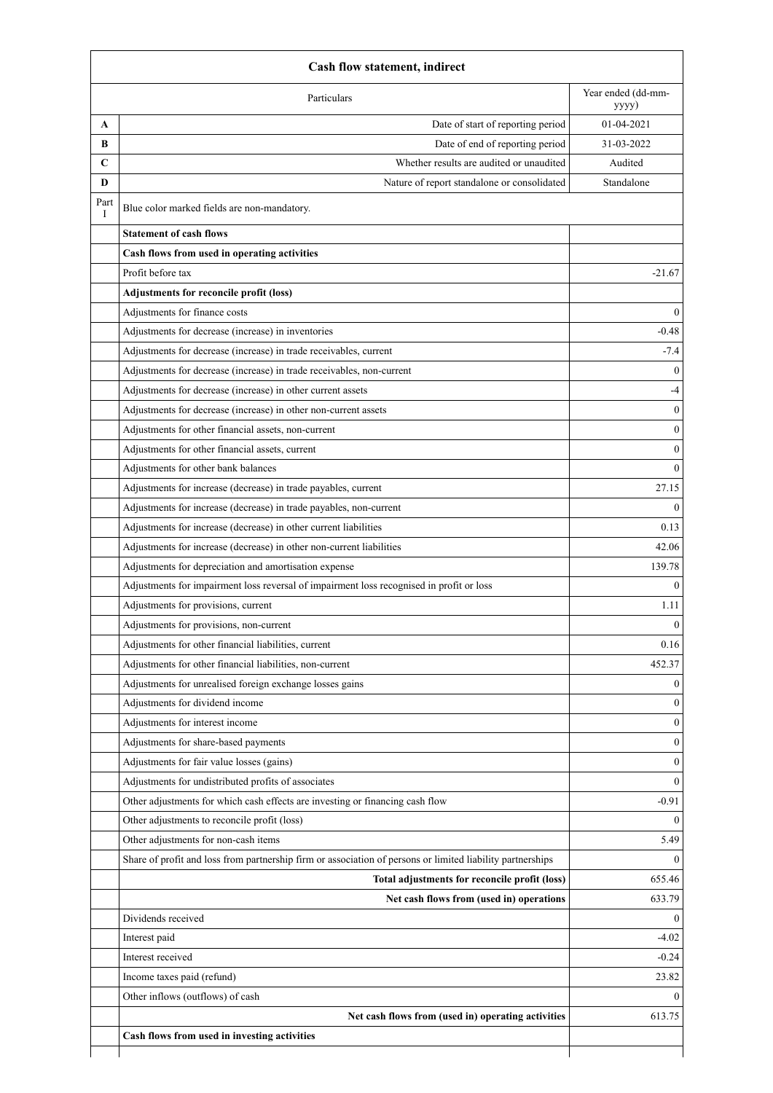|           | Cash flow statement, indirect                                                                              |                  |  |  |
|-----------|------------------------------------------------------------------------------------------------------------|------------------|--|--|
|           | Year ended (dd-mm-<br>Particulars<br>yyyy)                                                                 |                  |  |  |
| A         | Date of start of reporting period                                                                          | 01-04-2021       |  |  |
| B         | Date of end of reporting period                                                                            | 31-03-2022       |  |  |
| C         | Whether results are audited or unaudited                                                                   | Audited          |  |  |
| D         | Nature of report standalone or consolidated                                                                | Standalone       |  |  |
| Part<br>I | Blue color marked fields are non-mandatory.                                                                |                  |  |  |
|           | <b>Statement of cash flows</b>                                                                             |                  |  |  |
|           | Cash flows from used in operating activities                                                               |                  |  |  |
|           | Profit before tax                                                                                          | $-21.67$         |  |  |
|           | Adjustments for reconcile profit (loss)                                                                    |                  |  |  |
|           | Adjustments for finance costs                                                                              | $\theta$         |  |  |
|           | Adjustments for decrease (increase) in inventories                                                         | $-0.48$          |  |  |
|           | Adjustments for decrease (increase) in trade receivables, current                                          | $-7.4$           |  |  |
|           | Adjustments for decrease (increase) in trade receivables, non-current                                      | $\Omega$         |  |  |
|           | Adjustments for decrease (increase) in other current assets                                                | $-4$             |  |  |
|           | Adjustments for decrease (increase) in other non-current assets                                            | $\boldsymbol{0}$ |  |  |
|           | Adjustments for other financial assets, non-current                                                        | $\mathbf{0}$     |  |  |
|           | Adjustments for other financial assets, current                                                            | $\mathbf{0}$     |  |  |
|           | Adjustments for other bank balances                                                                        | $\theta$         |  |  |
|           | Adjustments for increase (decrease) in trade payables, current                                             | 27.15            |  |  |
|           | Adjustments for increase (decrease) in trade payables, non-current                                         | $\theta$         |  |  |
|           | Adjustments for increase (decrease) in other current liabilities                                           | 0.13             |  |  |
|           | Adjustments for increase (decrease) in other non-current liabilities                                       | 42.06            |  |  |
|           | Adjustments for depreciation and amortisation expense                                                      | 139.78           |  |  |
|           | Adjustments for impairment loss reversal of impairment loss recognised in profit or loss                   | $\theta$         |  |  |
|           | Adjustments for provisions, current                                                                        | 1.11             |  |  |
|           | Adjustments for provisions, non-current                                                                    | $\mathbf{0}$     |  |  |
|           | Adjustments for other financial liabilities, current                                                       | 0.16             |  |  |
|           | Adjustments for other financial liabilities, non-current                                                   | 452.37           |  |  |
|           | Adjustments for unrealised foreign exchange losses gains                                                   | $\mathbf{0}$     |  |  |
|           | Adjustments for dividend income                                                                            | $\theta$         |  |  |
|           | Adjustments for interest income                                                                            | $\boldsymbol{0}$ |  |  |
|           | Adjustments for share-based payments                                                                       | $\theta$         |  |  |
|           | Adjustments for fair value losses (gains)                                                                  | $\boldsymbol{0}$ |  |  |
|           | Adjustments for undistributed profits of associates                                                        | $\mathbf{0}$     |  |  |
|           | Other adjustments for which cash effects are investing or financing cash flow                              | $-0.91$          |  |  |
|           | Other adjustments to reconcile profit (loss)                                                               | $\theta$         |  |  |
|           | Other adjustments for non-cash items                                                                       | 5.49             |  |  |
|           | Share of profit and loss from partnership firm or association of persons or limited liability partnerships | $\theta$         |  |  |
|           | Total adjustments for reconcile profit (loss)                                                              | 655.46           |  |  |
|           | Net cash flows from (used in) operations                                                                   | 633.79           |  |  |
|           | Dividends received                                                                                         | $\mathbf{0}$     |  |  |
|           | Interest paid                                                                                              | $-4.02$          |  |  |
|           | Interest received                                                                                          | $-0.24$          |  |  |
|           | Income taxes paid (refund)                                                                                 | 23.82            |  |  |
|           | Other inflows (outflows) of cash                                                                           | $\theta$         |  |  |
|           | Net cash flows from (used in) operating activities                                                         | 613.75           |  |  |
|           | Cash flows from used in investing activities                                                               |                  |  |  |
|           |                                                                                                            |                  |  |  |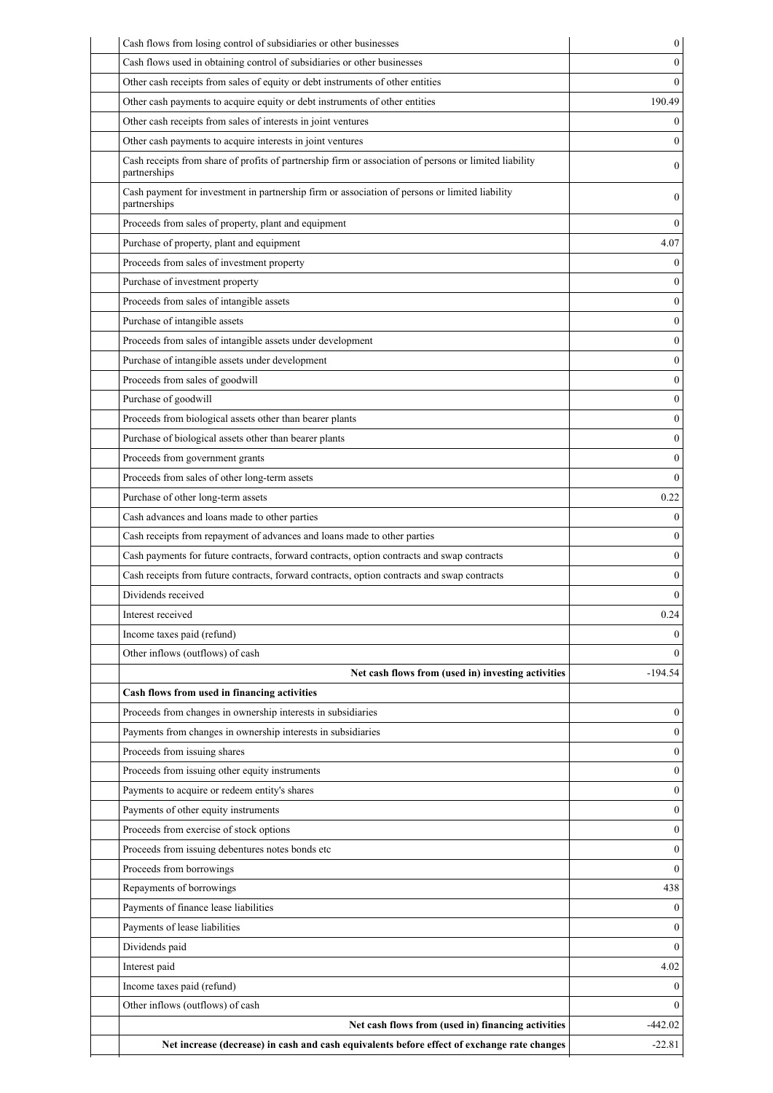| Cash flows from losing control of subsidiaries or other businesses                                                     | 0            |
|------------------------------------------------------------------------------------------------------------------------|--------------|
| Cash flows used in obtaining control of subsidiaries or other businesses                                               | 0            |
| Other cash receipts from sales of equity or debt instruments of other entities                                         | $\theta$     |
| Other cash payments to acquire equity or debt instruments of other entities                                            | 190.49       |
| Other cash receipts from sales of interests in joint ventures                                                          | 0            |
| Other cash payments to acquire interests in joint ventures                                                             | $\theta$     |
| Cash receipts from share of profits of partnership firm or association of persons or limited liability<br>partnerships | 0            |
| Cash payment for investment in partnership firm or association of persons or limited liability<br>partnerships         | 0            |
| Proceeds from sales of property, plant and equipment                                                                   | $\theta$     |
| Purchase of property, plant and equipment                                                                              | 4.07         |
| Proceeds from sales of investment property                                                                             | $^{(1)}$     |
| Purchase of investment property                                                                                        | $\theta$     |
| Proceeds from sales of intangible assets                                                                               | $\theta$     |
| Purchase of intangible assets                                                                                          | $\theta$     |
| Proceeds from sales of intangible assets under development                                                             | $\theta$     |
| Purchase of intangible assets under development                                                                        | $\theta$     |
| Proceeds from sales of goodwill                                                                                        | $\theta$     |
| Purchase of goodwill                                                                                                   | $\theta$     |
| Proceeds from biological assets other than bearer plants                                                               | $\theta$     |
| Purchase of biological assets other than bearer plants                                                                 | $\theta$     |
| Proceeds from government grants                                                                                        | $\theta$     |
| Proceeds from sales of other long-term assets                                                                          | $\theta$     |
| Purchase of other long-term assets                                                                                     | 0.22         |
| Cash advances and loans made to other parties                                                                          | 0            |
| Cash receipts from repayment of advances and loans made to other parties                                               | 0            |
| Cash payments for future contracts, forward contracts, option contracts and swap contracts                             | 0            |
| Cash receipts from future contracts, forward contracts, option contracts and swap contracts                            | 0            |
| Dividends received                                                                                                     | 0            |
| Interest received                                                                                                      | 0.24         |
| Income taxes paid (refund)                                                                                             | $\theta$     |
| Other inflows (outflows) of cash                                                                                       | 0            |
| Net cash flows from (used in) investing activities                                                                     | $-194.54$    |
| Cash flows from used in financing activities                                                                           |              |
| Proceeds from changes in ownership interests in subsidiaries                                                           | $\mathbf{0}$ |
| Payments from changes in ownership interests in subsidiaries                                                           | 0            |
| Proceeds from issuing shares                                                                                           | $\theta$     |
| Proceeds from issuing other equity instruments                                                                         | 0            |
| Payments to acquire or redeem entity's shares                                                                          | 0            |
| Payments of other equity instruments                                                                                   | $\theta$     |
| Proceeds from exercise of stock options                                                                                | $\mathbf{0}$ |
| Proceeds from issuing debentures notes bonds etc                                                                       | $\theta$     |
| Proceeds from borrowings                                                                                               | $\theta$     |
| Repayments of borrowings                                                                                               | 438          |
| Payments of finance lease liabilities                                                                                  | 0            |
| Payments of lease liabilities                                                                                          | 0            |
| Dividends paid                                                                                                         | $\theta$     |
| Interest paid                                                                                                          | 4.02         |
|                                                                                                                        |              |
| Income taxes paid (refund)                                                                                             | 0            |
| Other inflows (outflows) of cash                                                                                       | 0            |